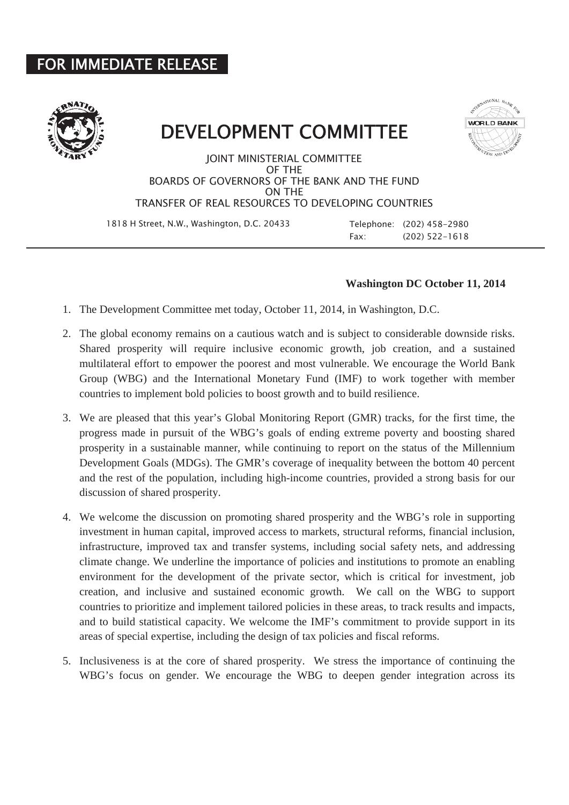## FOR IMMEDIATE RELEASE



## DEVELOPMENT COMMITTEE



JOINT MINISTERIAL COMMITTEE OF THE BOARDS OF GOVERNORS OF THE BANK AND THE FUND ON THE TRANSFER OF REAL RESOURCES TO DEVELOPING COUNTRIES

1818 H Street, N.W., Washington, D.C. 20433 Telephone: (202) 458-2980

Fax: (202) 522-1618

## **Washington DC October 11, 2014**

- 1. The Development Committee met today, October 11, 2014, in Washington, D.C.
- 2. The global economy remains on a cautious watch and is subject to considerable downside risks. Shared prosperity will require inclusive economic growth, job creation, and a sustained multilateral effort to empower the poorest and most vulnerable. We encourage the World Bank Group (WBG) and the International Monetary Fund (IMF) to work together with member countries to implement bold policies to boost growth and to build resilience.
- 3. We are pleased that this year's Global Monitoring Report (GMR) tracks, for the first time, the progress made in pursuit of the WBG's goals of ending extreme poverty and boosting shared prosperity in a sustainable manner, while continuing to report on the status of the Millennium Development Goals (MDGs). The GMR's coverage of inequality between the bottom 40 percent and the rest of the population, including high-income countries, provided a strong basis for our discussion of shared prosperity.
- 4. We welcome the discussion on promoting shared prosperity and the WBG's role in supporting investment in human capital, improved access to markets, structural reforms, financial inclusion, infrastructure, improved tax and transfer systems, including social safety nets, and addressing climate change. We underline the importance of policies and institutions to promote an enabling environment for the development of the private sector, which is critical for investment, job creation, and inclusive and sustained economic growth. We call on the WBG to support countries to prioritize and implement tailored policies in these areas, to track results and impacts, and to build statistical capacity. We welcome the IMF's commitment to provide support in its areas of special expertise, including the design of tax policies and fiscal reforms.
- 5. Inclusiveness is at the core of shared prosperity. We stress the importance of continuing the WBG's focus on gender. We encourage the WBG to deepen gender integration across its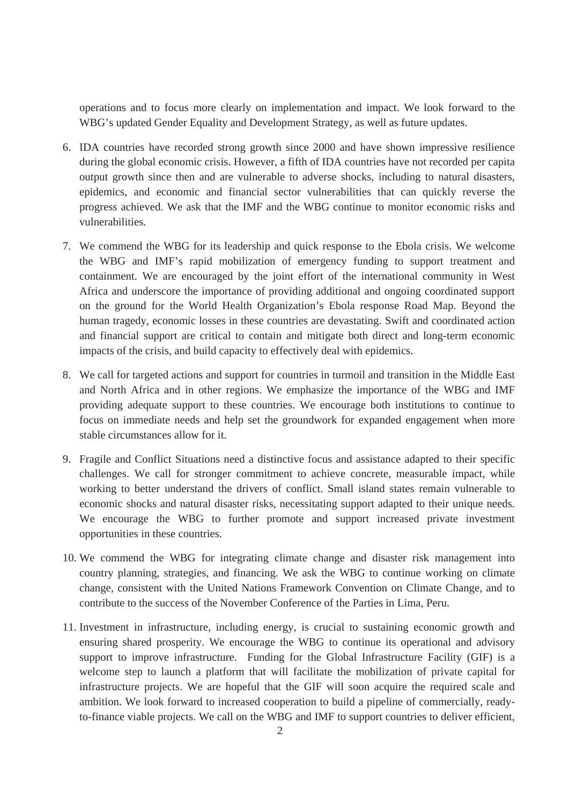operations and to focus more clearly on implementation and impact. We look forward to the WBG's updated Gender Equality and Development Strategy, as well as future updates.

- 6. IDA countries have recorded strong growth since 2000 and have shown impressive resilience during the global economic crisis. However, a fifth of IDA countries have not recorded per capita output growth since then and are vulnerable to adverse shocks, including to natural disasters, epidemics, and economic and financial sector vulnerabilities that can quickly reverse the progress achieved. We ask that the IMF and the WBG continue to monitor economic risks and vulnerabilities.
- 7. We commend the WBG for its leadership and quick response to the Ebola crisis. We welcome the WBG and IMF's rapid mobilization of emergency funding to support treatment and containment. We are encouraged by the joint effort of the international community in West Africa and underscore the importance of providing additional and ongoing coordinated support on the ground for the World Health Organization's Ebola response Road Map. Beyond the human tragedy, economic losses in these countries are devastating. Swift and coordinated action and financial support are critical to contain and mitigate both direct and long-term economic impacts of the crisis, and build capacity to effectively deal with epidemics.
- 8. We call for targeted actions and support for countries in turmoil and transition in the Middle East and North Africa and in other regions. We emphasize the importance of the WBG and IMF providing adequate support to these countries. We encourage both institutions to continue to focus on immediate needs and help set the groundwork for expanded engagement when more stable circumstances allow for it.
- 9. Fragile and Conflict Situations need a distinctive focus and assistance adapted to their specific challenges. We call for stronger commitment to achieve concrete, measurable impact, while working to better understand the drivers of conflict. Small island states remain vulnerable to economic shocks and natural disaster risks, necessitating support adapted to their unique needs. We encourage the WBG to further promote and support increased private investment opportunities in these countries.
- 10. We commend the WBG for integrating climate change and disaster risk management into country planning, strategies, and financing. We ask the WBG to continue working on climate change, consistent with the United Nations Framework Convention on Climate Change, and to contribute to the success of the November Conference of the Parties in Lima, Peru.
- 11. Investment in infrastructure, including energy, is crucial to sustaining economic growth and ensuring shared prosperity. We encourage the WBG to continue its operational and advisory support to improve infrastructure. Funding for the Global Infrastructure Facility (GIF) is a welcome step to launch a platform that will facilitate the mobilization of private capital for infrastructure projects. We are hopeful that the GIF will soon acquire the required scale and ambition. We look forward to increased cooperation to build a pipeline of commercially, readyto-finance viable projects. We call on the WBG and IMF to support countries to deliver efficient,